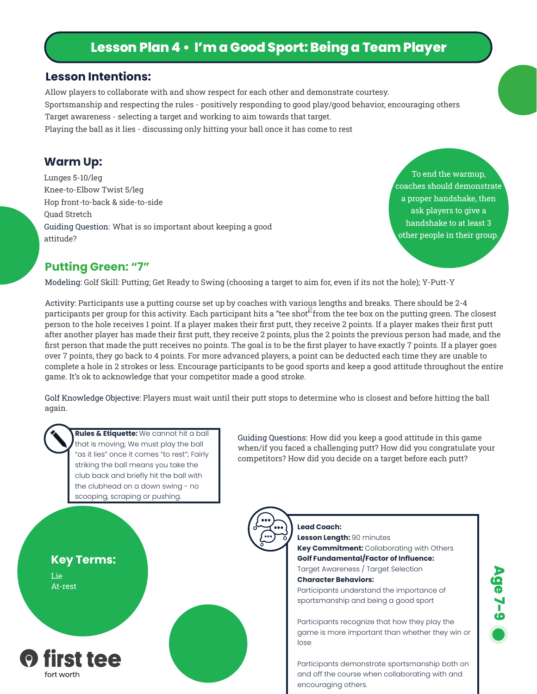# **Lesson Plan 4 • I'm a Good Sport: Being a Team Player**

#### **Lesson Intentions:**

Allow players to collaborate with and show respect for each other and demonstrate courtesy. Sportsmanship and respecting the rules - positively responding to good play/good behavior, encouraging others Target awareness - selecting a target and working to aim towards that target. Playing the ball as it lies - discussing only hitting your ball once it has come to rest

### **Warm Up:**

Lunges 5-10/leg Knee-to-Elbow Twist 5/leg Hop front-to-back & side-to-side Quad Stretch Guiding Question: What is so important about keeping a good attitude?

To end the warmup, coaches should demonstrate a proper handshake, then ask players to give a handshake to at least 3 other people in their group.

### **Putting Green: "7"**

Modeling: Golf Skill: Putting; Get Ready to Swing (choosing a target to aim for, even if its not the hole); Y-Putt-Y

Activity: Participants use a putting course set up by coaches with various lengths and breaks. There should be 2-4 participants per group for this activity. Each participant hits a "tee shot<sup>8</sup> from the tee box on the putting green. The closest person to the hole receives 1 point. If a player makes their first putt, they receive 2 points. If a player makes their first putt after another player has made their first putt, they receive 2 points, plus the 2 points the previous person had made, and the first person that made the putt receives no points. The goal is to be the first player to have exactly 7 points. If a player goes over 7 points, they go back to 4 points. For more advanced players, a point can be deducted each time they are unable to complete a hole in 2 strokes or less. Encourage participants to be good sports and keep a good attitude throughout the entire game. It's ok to acknowledge that your competitor made a good stroke.

Golf Knowledge Objective: Players must wait until their putt stops to determine who is closest and before hitting the ball again.



**Rules & Etiquette:** We cannot hit a ball that is moving; We must play the ball "as it lies" once it comes "to rest"; Fairly striking the ball means you take the club back and briefly hit the ball with the clubhead on a down swing - no scooping, scraping or pushing.

Guiding Questions: How did you keep a good attitude in this game when/if you faced a challenging putt? How did you congratulate your competitors? How did you decide on a target before each putt?



**Lead Coach: Lesson Length:** 90 minutes **Key Commitment:** Collaborating with Others **Golf Fundamental/Factor of Influence:**  Target Awareness / Target Selection **Character Behaviors:** Participants understand the importance of sportsmanship and being a good sport Participants recognize that how they play the game is more important than whether they win or lose

Participants demonstrate sportsmanship both on and off the course when collaborating with and encouraging others.